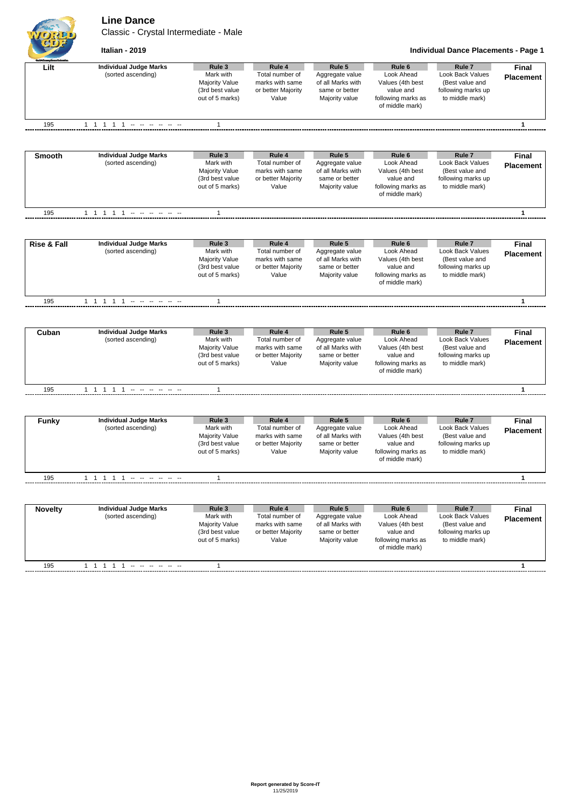## **Line Dance**

Classic - Crystal Intermediate - Male

**Italian - 2019 Individual Dance Placements - Page 1** Rule 3 Rule 4 Rule 5 195 1 1 1 1 1 -- -- -- -- -- -- 1 **1** Rule 3 Rule 4 Rule 5 195 1 1 1 1 1 -- -- -- -- -- -- 1 **1 Rule 3** Rule 4 Rule 5<br>Mark with Total number of Aggregate v 195 1 1 1 1 1 -- -- -- -- -- -- 1 **1 Rule 3 Rule 4 Rule 5** 195 1 1 1 1 1 -- -- -- -- -- -- 1 **1 Rule 3 Rule 4 Rule 5** 195 1 1 1 1 1 -- -- -- -- -- -- 1 **1** Rule 3 Rule 4 Rule 5 Mark with Majority Value (3rd best value out of 5 marks) Total number of marks with same or better Majority Value Aggregate value of all Marks with same or better Majority value Mark with Majority Value (3rd best value out of 5 marks) Total number of marks with same or better Majority Value Mark with Majority Value (3rd best value out of 5 marks) Total number of marks with same or better Majority Value Aggregate value of all Marks with same or better Majority value Aggregate value of all Marks with same or better Majority value **Final Placement** Look Back Values (Best value and following marks up to middle mark) Look Back Values (Best value and following marks up to middle mark) Look Back Values (Best value and following marks up to middle mark) **Rule 7** Look Back Values (Best value and following marks up to middle mark) **Rule 7 Final Placement Final Placement Lilt Novelty Funky Individual Judge Marks Cuban** (sorted ascending) Mark with Total number of Aggregate value Look Ahead Values (4th best value and following marks as of middle mark) Total number of marks with same or better Majority Value Aggregate value of all Marks with same or better Majority value **Rule 6 Smooth Individual Judge Marks Rule 3 Rule 4 Rule 5 Rule 6 Rule 6 Rule 6 Rule 6 Rule 6 Rule 6 Rule 6 Rule 6 Rule 6 Rule 6 Rule 6 Rule 6 Rule 6 Rule 6 Rule 6 Rule 6 Rule 6 Rule 6** (sorted ascending) Majority Value (3rd best value out of 5 marks) Look Ahead Values (4th best value and following marks as of middle mark) **Rise & Fall Individual Judge Marks Rule 3 Rule 4 Rule 5 Rule 6 Rule 6**  $(s$ orted ascending) Majority Value (3rd best value out of 5 marks) Total number of marks with same or better Majority Value Aggregate value of all Marks with same or better Majority value Look Ahead Values (4th best value and following marks as of middle mark) Look Ahead Values (4th best value and following marks as of middle mark) **Rule 6 Rule 7 Rule 6 Rule 7** (sorted ascending) Mark with Majority Value (3rd best value out of 5 marks) Total number of marks with same or better Majority Value Aggregate value of all Marks with same or better Majority value **Individual Judge Marks** Look Ahead Values (4th best value and following marks as of middle mark) **Final Placement**<br>Look Back Values<br>**Placement** (Best value and following marks up to middle mark) **Final Placement Final Placement Rule 6 Rule 7** Look Back Values (Best value and following marks up to middle mark) Look Ahead Values (4th best value and following marks as of middle mark) (sorted ascending) **Individual Judge Marks Individual Judge Marks** (sorted ascending)

195 1 1 1 1 1 -- -- -- -- -- -- 1 **1**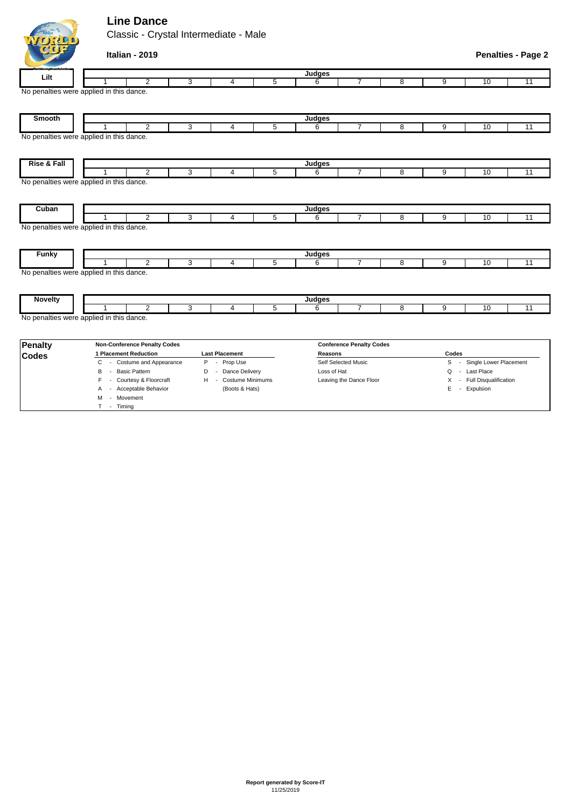## **Line Dance**

M - Movement T - Timing

Classic - Crystal Intermediate - Male

|                        | Italian - 2019                           |                                            |                         |                                 |                               |                |                           |                |    | <b>Penalties - Page 2</b> |  |
|------------------------|------------------------------------------|--------------------------------------------|-------------------------|---------------------------------|-------------------------------|----------------|---------------------------|----------------|----|---------------------------|--|
| Lilt                   |                                          |                                            |                         |                                 |                               |                |                           |                |    |                           |  |
|                        | $\overline{2}$                           | 3                                          | 4                       | 5                               | 6                             | 7              | 8                         | $\overline{9}$ | 10 | $\overline{11}$           |  |
|                        | No penalties were applied in this dance. |                                            |                         |                                 |                               |                |                           |                |    |                           |  |
| <b>Smooth</b>          |                                          |                                            |                         |                                 | Judges                        |                |                           |                |    |                           |  |
|                        | $\overline{2}$<br>1                      | 3                                          | $\overline{4}$          | 5                               | 6                             | 7              | 8                         | 9              | 10 | 11                        |  |
|                        | No penalties were applied in this dance. |                                            |                         |                                 |                               |                |                           |                |    |                           |  |
| <b>Rise &amp; Fall</b> | Judges                                   |                                            |                         |                                 |                               |                |                           |                |    |                           |  |
|                        | $\overline{2}$                           | 3                                          | $\overline{4}$          | 5                               | 6                             | $\overline{7}$ | 8                         | 9              | 10 | 11                        |  |
|                        | No penalties were applied in this dance. |                                            |                         |                                 |                               |                |                           |                |    |                           |  |
| Cuban                  | $\overline{2}$<br>1                      | 3                                          | $\overline{4}$          | 5                               | <b>Judges</b>                 | $\overline{7}$ | 8                         | 9              | 10 | 11                        |  |
|                        | No penalties were applied in this dance. |                                            |                         |                                 | 6                             |                |                           |                |    |                           |  |
| <b>Funky</b>           |                                          |                                            |                         |                                 | Judges                        |                |                           |                |    |                           |  |
|                        | 2<br>1                                   | 3                                          | 4                       | 5                               | 6                             | 7              | 8                         | 9              | 10 | 11                        |  |
|                        | No penalties were applied in this dance. |                                            |                         |                                 |                               |                |                           |                |    |                           |  |
| <b>Novelty</b>         | $\overline{2}$<br>1                      |                                            |                         |                                 | <b>Judges</b>                 | 7              |                           |                | 10 | 11                        |  |
|                        |                                          | 3                                          | $\overline{4}$          | 5                               | 6                             |                | 8                         | 9              |    |                           |  |
|                        | No penalties were applied in this dance. |                                            |                         |                                 |                               |                |                           |                |    |                           |  |
| <b>Penalty</b>         | <b>Non-Conference Penalty Codes</b>      |                                            | <b>Last Placement</b>   | <b>Conference Penalty Codes</b> |                               |                |                           |                |    |                           |  |
| <b>Codes</b>           | 1 Placement Reduction                    |                                            | <b>Reasons</b>          |                                 |                               | Codes          |                           |                |    |                           |  |
|                        | - Costume and Appearance<br>C            |                                            | Self Selected Music     |                                 | - Single Lower Placement<br>S |                |                           |                |    |                           |  |
|                        | <b>Basic Pattern</b><br>B<br>$\sim$      | Dance Delivery                             | Loss of Hat             |                                 | - Last Place<br>Q             |                |                           |                |    |                           |  |
|                        | - Courtesy & Floorcraft                  | - Costume Minimums<br>H.<br>(Boots & Hats) | Leaving the Dance Floor |                                 |                               |                | X - Full Disqualification |                |    |                           |  |
|                        | A - Acceptable Behavior                  |                                            |                         |                                 | E - Expulsion                 |                |                           |                |    |                           |  |